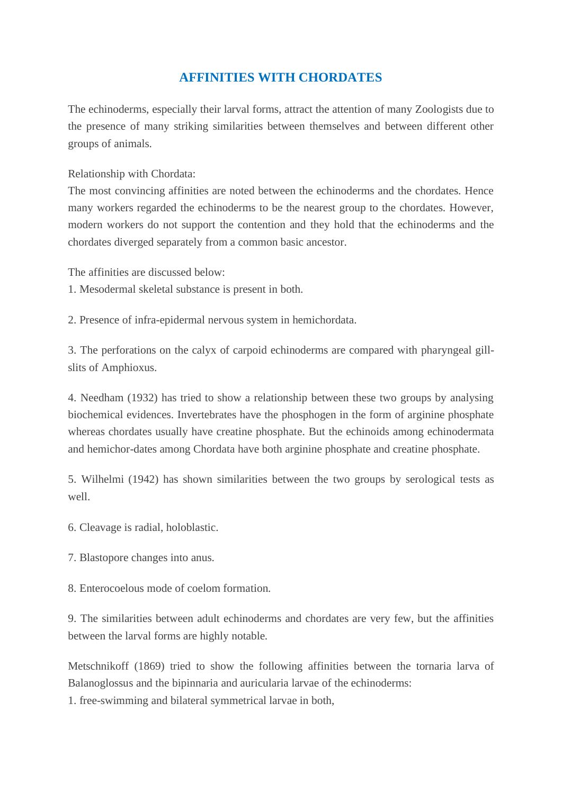## **AFFINITIES WITH CHORDATES**

The echinoderms, especially their larval forms, attract the attention of many Zoologists due to the presence of many striking similarities between themselves and between different other groups of animals.

Relationship with Chordata:

The most convincing affinities are noted between the echinoderms and the chordates. Hence many workers regarded the echinoderms to be the nearest group to the chordates. However, modern workers do not support the contention and they hold that the echinoderms and the chordates diverged separately from a common basic ancestor.

The affinities are discussed below:

- 1. Mesodermal skeletal substance is present in both.
- 2. Presence of infra-epidermal nervous system in hemichordata.

3. The perforations on the calyx of carpoid echinoderms are compared with pharyngeal gillslits of Amphioxus.

4. Needham (1932) has tried to show a relationship between these two groups by analysing biochemical evidences. Invertebrates have the phosphogen in the form of arginine phosphate whereas chordates usually have creatine phosphate. But the echinoids among echinodermata and hemichor-dates among Chordata have both arginine phosphate and creatine phosphate.

5. Wilhelmi (1942) has shown similarities between the two groups by serological tests as well.

- 6. Cleavage is radial, holoblastic.
- 7. Blastopore changes into anus.
- 8. Enterocoelous mode of coelom formation.

9. The similarities between adult echinoderms and chordates are very few, but the affinities between the larval forms are highly notable.

Metschnikoff (1869) tried to show the following affinities between the tornaria larva of Balanoglossus and the bipinnaria and auricularia larvae of the echinoderms:

1. free-swimming and bilateral symmetrical larvae in both,